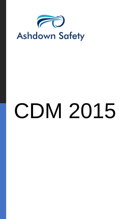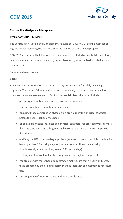



### **Construction (Design and Management)**

### **Regulations 2015 – CDM2015**

The Construction (Design and Management) Regulations 2015 (CDM) are the main set of regulations for managing the health, safety and welfare of construction projects.

CDM2015 applies to all building and construction work and includes new build, demolition, refurbishment, extensions, conversions, repair, decoration, work on fixed installations and maintenance

### **Summary of main duties**

### **Client**

- A client has responsibility to make satisfactory arrangements for safely managing a project. The duties of domestic clients are automatically passed to other duty holders unless they make arrangements. But for commercial clients the duties include:
	- preparing a client brief and pre-construction information
	- drawing together a competent project team
	- ensuring that a construction phase plan is drawn up by the principal contractor before the construction phase begins
	- appointing a principal designer and principal contractor for projects involving more than one contractor and taking reasonable steps to ensure that they comply with their duties
	- notifying the HSE of certain larger projects (where construction work is scheduled to last longer than 30 working days and have more than 20 workers working simultaneously at any point, or, exceed 500 person days)
	- making sure that welfare facilities are provided throughout the project
	- for projects with more than one contractor, making sure that a health and safety file is prepared by the principal designer and is then kept and maintained for future use.
	- ensuring that sufficient resources and time are allocated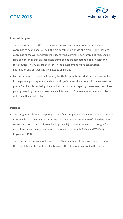

### **Principal designer**

- The principal designer (PD) is responsible for planning, monitoring, managing and coordinating health and safety in the pre-construction phase of a project. This includes coordinating the work of designers in identifying, eliminating or controlling foreseeable risks and ensuring that any designers they appoint are competent in their health and safety duties. The PD assists the client in the development of pre-construction information and ensures it is circulated to all parties.
- For the duration of their appointment, the PD liaises with the principal contractor to help in the planning, management and monitoring of the health and safety in the construction phase. This includes assisting the principal contractor in preparing the construction phase plan by providing them with any relevant information. The role also includes compilation of the health and safety file

### **Designer**

- The designer's role when preparing or modifying designs is to eliminate, reduce or control foreseeable risks that may occur during construction or maintenance of a building or its subsequent use as a workplace (where applicable). They must ensure that designs for workplaces meet the requirements of the Workplace (Health, Safety and Welfare) Regulations 1992.
- The designer also provides information to other members of the project team to help them fulfil their duties and coordinates with other designers involved in the project.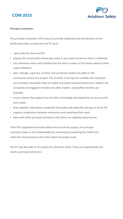



### **Principal contractors**

The principal contractor's (PC) duty is to provide leadership and coordination of site health and safety. In particular the PC must:

- liaise with the client and PD
- prepare the construction phase plan, keep it up to date and ensure that it is followed
- not commence work until satisfied that the client is aware of the duties owed by them under CDM2015
- plan, manage, supervise, monitor and coordinate health and safety in the construction phase of a project. This includes ensuring that: suitable site inductions are provided; reasonable steps are taken to prevent unauthorised access; workers are consulted and engaged in health and safety matters; and welfare facilities are provided
- ensure anyone they appoint has the skills, knowledge and experience to carry out the work safely
- draw together information needed for the health and safety file and pass it to the PD.
- organise cooperation between contractors and coordinate their work
- liaise with other principal contractors and others on neighbouring premises

If the PD's appointment finishes before the end of the project, the principal contractor takes on the responsibility for reviewing and updating the health and safety file and passing it to the client when the project ends.

The PC may also take on the duties of a domestic client, if they are appointed by the client as principal contractor.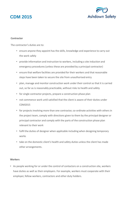

### **Contractor**

The contractor's duties are to:

- ensure anyone they appoint has the skills, knowledge and experience to carry out the work safely
- provide information and instruction to workers, including a site induction and emergency procedures (unless these are provided by a principal contractor)
- ensure that welfare facilities are provided for their workers and that reasonable steps have been taken to secure the site from unauthorised entry
- plan, manage and monitor construction work under their control so that it is carried out, so far as is reasonably practicable, without risks to health and safety
- for single contractor projects, prepare a construction phase plan
- not commence work until satisfied that the client is aware of their duties under CDM2015
- for projects involving more than one contractor, co-ordinate activities with others in the project team, comply with directions given to them by the principal designer or principal contractor and comply with the parts of the construction phase plan relevant to their work
- fulfil the duties of designer when applicable including when designing temporary works
- take on the domestic client's health and safety duties unless the client has made other arrangements.

### **Workers**

• As people working for or under the control of contactors on a construction site, workers have duties as well as their employers. For example, workers must cooperate with their employer, fellow workers, contractors and other duty holders.